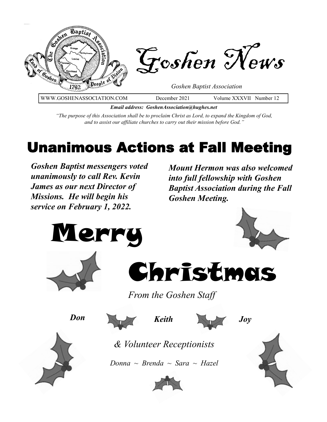

*Email address: GoshenAssociation@hughes.net*

*"The purpose of this Association shall be to proclaim Christ as Lord, to expand the Kingdom of God, and to assist our affiliate churches to carry out their mission before God."*

# Unanimous Actions at Fall Meeting

*Goshen Baptist messengers voted unanimously to call Rev. Kevin James as our next Director of Missions. He will begin his service on February 1, 2022.*

*Mount Hermon was also welcomed into full fellowship with Goshen Baptist Association during the Fall Goshen Meeting.* 







*From the Goshen Staff* 

*Don*



*Keith Joy*

*& Volunteer Receptionists*

*Donna ~ Brenda ~ Sara ~ Hazel*



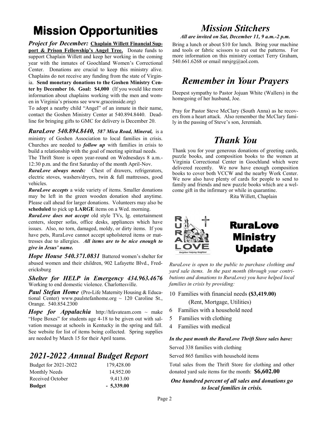# **Mission Opportunities**

*Project for December:* **Chaplain Willett Financial Support & Prison Fellowship's Angel Tree.** Donate funds to support Chaplain Willett and keep her working in the coming year with the inmates of Goochland Women's Correctional Center. Donations are crucial to keep this ministry alive. Chaplains do not receive any funding from the state of Virginia. **Send monetary donations to the Goshen Ministry Center by December 16. Goal: \$4,000** (If you would like more information about chaplains working with the men and women in Virginia's prisons see www.graceinside.org)

To adopt a nearby child "Angel" of an inmate in their name, contact the Goshen Ministry Center at 540.894.8440. Deadline for bringing gifts to GMC for delivery is December 20.

*RuraLove 540.894.8440, 587 Mica Road, Mineral,* is a ministry of Goshen Association to local families in crisis. Churches are needed to *follow up* with families in crisis to build a relationship with the goal of meeting spiritual needs. The Thrift Store is open year-round on Wednesdays 8 a.m.-

12:30 p.m. and the first Saturday of the month April-Nov.

*RuraLove always needs:* Chest of drawers, refrigerators, electric stoves, washers/dryers, twin & full mattresses, good vehicles.

*RuraLove accepts* a wide variety of items. Smaller donations may be left in the green wooden donation shed anytime. Please call ahead for larger donations. Volunteers may also be **scheduled** to pick up **LARGE** items on a Wed. morning.

*RuraLove does not accept* old style TVs, lg. entertainment centers, sleeper sofas, office desks, appliances which have issues. Also, no torn, damaged, moldy, or dirty items. If you have pets, RuraLove cannot accept upholstered items or mattresses due to allergies. *All items are to be nice enough to give in Jesus' name.* 

*Hope House 540.371.0831* Battered women's shelter for abused women and their children, 902 Lafayette Blvd., Fredericksburg

*Shelter for HELP in Emergency 434.963.4676*  Working to end domestic violence. Charlottesville.

*Paul Stefan Home* (Pro-Life Maternity Housing & Educational Center) www.paulstefanhome.org  $\sim$  120 Caroline St., Orange. 540.854.2300

*Hope for Appalachia* http://hfavateam.com ~ make "Hope Boxes" for students age 4-18 to be given out with salvation message at schools in Kentucky in the spring and fall. See website for list of items being collected*.* Spring supplies are needed by March 15 for their April teams.

### *2021-2022 Annual Budget Report*

| Budget for 2021-2022 | 179,428.00  |
|----------------------|-------------|
| Monthly Needs        | 14,952.00   |
| Received October     | 9,413.00    |
| <b>Budget</b>        | $-5,339.00$ |

## *Mission Stitchers*

*All are invited on Sat, December 11, 9 a.m.-2 p.m.* 

Bring a lunch or about \$10 for lunch. Bring your machine and tools or fabric scissors to cut out the patterns. For more information on this ministry contact Terry Graham, 540.661.6268 or email mrsjrg@aol.com.

### *Remember in Your Prayers*

Deepest sympathy to Pastor Jojuan White (Wallers) in the homegoing of her husband, Joe.

Pray for Pastor Steve McClary (South Anna) as he recovers from a heart attack. Also remember the McClary family in the passing of Steve's son, Jeremiah.

### *Thank You*

Thank you for your generous donations of greeting cards, puzzle books, and composition books to the women at Virginia Correctional Center in Goochland which were delivered recently. We now have enough composition books to cover both VCCW and the nearby Work Center. We now also have plenty of cards for people to send to family and friends and new puzzle books which are a welcome gift in the infirmary or while in quarantine.

Rita Willett, Chaplain



*RuraLove is open to the public to purchase clothing and yard sale items. In the past month (through your contributions and donations to RuraLove) you have helped local families in crisis by providing:*

10 Families with financial needs **(\$3,419.00)**

(Rent, Mortgage, Utilities)

- 6 Families with a household need
- 5 Families with clothing
- 4 Families with medical

#### *In the past month the RuraLove Thrift Store sales have:*

Served 338 families with clothing

Served 865 families with household items

Total sales from the Thrift Store for clothing and other donated yard sale items for the month: **\$6,602.00**

#### *One hundred percent of all sales and donations go to local families in crisis.*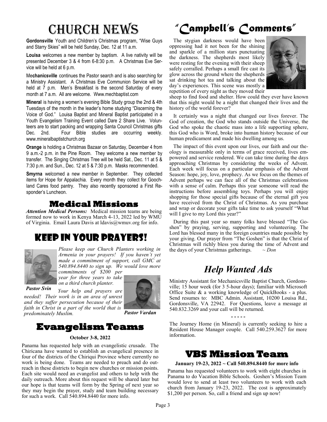**Gordonsville** Youth and Children's Christmas program, "Wise Guys and Starry Skies" will be held Sunday, Dec. 12 at 11 a.m.

**Louisa** welcomes a new member by baptism. A live nativity will be presented December 3 & 4 from 6-8:30 p.m. A Christmas Eve Service will be held at 6 p.m.

Me**chanicsville** continues the Pastor search and is also searching for a Ministry Assistant. A Christmas Eve Communion Service will be held at 7 p.m. Men's Breakfast is the second Saturday of every month at 7 a.m. All are welcome. Www.mechbaptist.com

**Mineral** is having a women's evening Bible Study group the 2nd & 4th Tuesdays of the month in the leader's home studying "Discerning the Voice of God." Louisa Baptist and Mineral Baptist participated in a Youth Evangelism Training Event called Dare 2 Share Live. Volunteers are to start packing and wrapping Santa Council Christmas gifts Dec. 2nd. Four Bible studies are occurring weekly. www.mineralbaptistchurch.org

**Orange** is holding a Christmas Bazaar on Saturday, December 4 from 9 a.m.-2 p.m. in the Pine Room. They welcome a new member by transfer. The Singing Christmas Tree will be held Sat., Dec. 11 at 5 & 7:30 p.m. and Sun., Dec. 12 at 5 & 7:30 p.m. Masks recommended.

**Smyrna** welcomed a new member in September. They collected items for Hope for Appalachia. Every month they collect for Goochland Cares food pantry. They also recently sponsored a First Responder's Luncheon.

### **Medical Missions**

*Attention Medical Persons:* Medical mission teams are being formed now to work in Kenya March 4-13, 2022 led by WMU of Virginia. Email Laura Davis at ldavis@wmuv.org for info.

### Keep in Your Prayers!



*Please keep our Church Planters working in Armenia in your prayers! If you haven't yet made a commitment of support, call GMC at 540.894.8440 to sign up. We would love more commitments of \$200 per* 

*year for three years to take on a third church planter.* 

*needed! Their work is in an area of unrest and they suffer persecution because of their faith in Christ in a part of the world that is* 

*Pastor Svin*

*predominately Muslim. Pastor Vardan* 

### **Evangelism Teams**

*Your help and prayers are* 

#### **October 3-8, 2022**

Panama has requested help with an evangelistic crusade. The Chiricana have wanted to establish an evangelical presence in four of the districts of the Chiriqui Province where currently no work is being done. Teams are needed to preach and do outreach in these districts to begin new churches or mission points. Each site would need an evangelist and others to help with the daily outreach. More about this request will be shared later but our hope is that teams will form by the Spring of next year so they may begin the prayer, study and team building necessary for such a work. Call 540.894.8440 for more info.

# Church News *"Campbell's Comments"*

 The stygian darkness would have been oppressing had it not been for the shining and sparkle of a million stars punctuating the darkness. The shepherds most likely were resting for the evening with their sheep safely corralled. Perhaps a small fire cast its glow across the ground where the shepherds sat drinking hot tea and talking about the day's experiences. This scene was mostly a repetition of every night as they moved their



sheep to find food and shelter. How could they ever have known that this night would be a night that changed their lives and the history of the world forever?

 It certainly was a night that changed our lives forever. The God of creation, the God who stands outside the Universe, the God who spoke the chaotic mass into a life supporting sphere, this God who is Word, broke into human history because of our human predicament and made his dwelling among us.

 The impact of this event upon our lives, our faith and our theology is measurable only in terms of grace received, lives empowered and service rendered. We can take time during the days approaching Christmas by considering the weeks of Advent. Each week will focus on a particular emphasis of the Advent Season: hope, joy, love, prophecy. As we focus on the themes of Advent perhaps we can face all of the Christmas celebrations with a sense of calm. Perhaps this year someone will read the instructions before assembling toys. Perhaps you will enjoy shopping for those special gifts because of the eternal gift you have received from the Christ of Christmas. As you purchase and wrap or decorate your gifts take time to ask yourself "What will I give to my Lord this year?"

 During this past year so many folks have blessed "The Goshen" by praying, serving, supporting and volunteering. The Lord has blessed many in the foreign countries made possible by your giving. Our prayer from "The Goshen" is that the Christ of Christmas will richly bless you during the time of Advent and the days of your Christmas gatherings. *~ Don*

## *Help Wanted Ads*

Ministry Assistant for Mechanicsville Baptist Church, Gordonsville; 15 hour week (for 3 5-hour days); familiar with Microsoft Office Suite & a working knowledge of QuickBooks - a plus. Send resumes to: MBC Admin. Assistant, 10200 Louisa Rd., Gordonsville, VA 22942. For Questions, leave a message at 540.832.3269 and your call will be returned.

**- - - - -**

The Journey Home (in Mineral) is currently seeking to hire a Resident House Manager couple. Call 540.259.3627 for more information.

### **VBS Mission Team**

#### **January 19-23, 2022 ~ Call 540.894.8440 for more info**

Panama has requested volunteers to work with eight churches in Panama to do Vacation Bible Schools. Goshen's Mission Team would love to send at least two volunteers to work with each church from January 19-23, 2022. The cost is approximately \$1,200 per person. So, call a friend and sign up now!